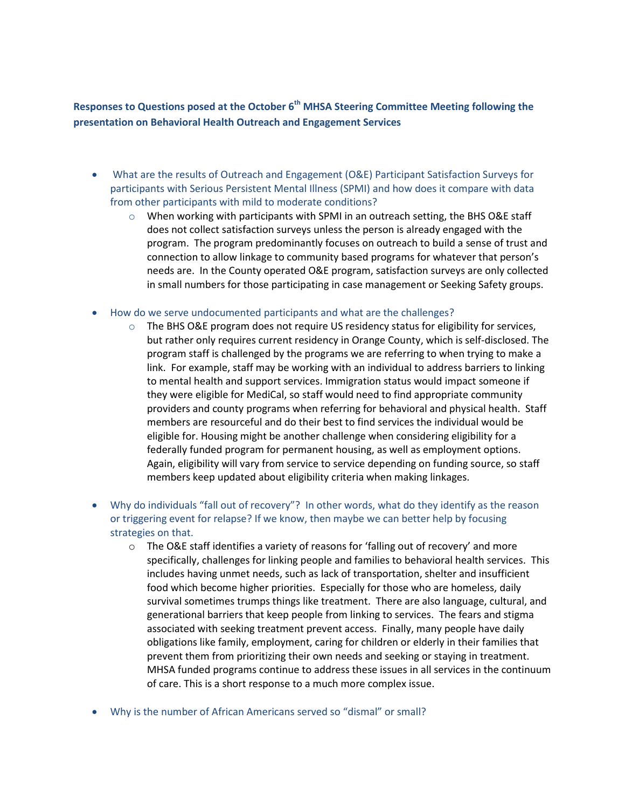**Responses to Questions posed at the October 6th MHSA Steering Committee Meeting following the presentation on Behavioral Health Outreach and Engagement Services** 

- What are the results of Outreach and Engagement (O&E) Participant Satisfaction Surveys for participants with Serious Persistent Mental Illness (SPMI) and how does it compare with data from other participants with mild to moderate conditions?
	- $\circ$  When working with participants with SPMI in an outreach setting, the BHS O&E staff does not collect satisfaction surveys unless the person is already engaged with the program. The program predominantly focuses on outreach to build a sense of trust and connection to allow linkage to community based programs for whatever that person's needs are. In the County operated O&E program, satisfaction surveys are only collected in small numbers for those participating in case management or Seeking Safety groups.
- How do we serve undocumented participants and what are the challenges?
	- $\circ$  The BHS O&E program does not require US residency status for eligibility for services, but rather only requires current residency in Orange County, which is self-disclosed. The program staff is challenged by the programs we are referring to when trying to make a link. For example, staff may be working with an individual to address barriers to linking to mental health and support services. Immigration status would impact someone if they were eligible for MediCal, so staff would need to find appropriate community providers and county programs when referring for behavioral and physical health. Staff members are resourceful and do their best to find services the individual would be eligible for. Housing might be another challenge when considering eligibility for a federally funded program for permanent housing, as well as employment options. Again, eligibility will vary from service to service depending on funding source, so staff members keep updated about eligibility criteria when making linkages.
- Why do individuals "fall out of recovery"? In other words, what do they identify as the reason or triggering event for relapse? If we know, then maybe we can better help by focusing strategies on that.
	- $\circ$  The O&E staff identifies a variety of reasons for 'falling out of recovery' and more specifically, challenges for linking people and families to behavioral health services. This includes having unmet needs, such as lack of transportation, shelter and insufficient food which become higher priorities. Especially for those who are homeless, daily survival sometimes trumps things like treatment. There are also language, cultural, and generational barriers that keep people from linking to services. The fears and stigma associated with seeking treatment prevent access. Finally, many people have daily obligations like family, employment, caring for children or elderly in their families that prevent them from prioritizing their own needs and seeking or staying in treatment. MHSA funded programs continue to address these issues in all services in the continuum of care. This is a short response to a much more complex issue.
- Why is the number of African Americans served so "dismal" or small?